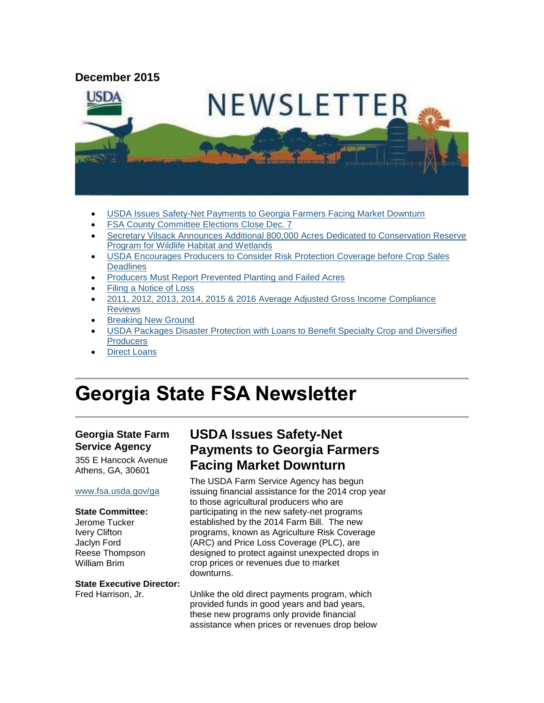#### **December 2015**



- [USDA Issues Safety-Net Payments to Georgia Farmers Facing Market Downturn](#page-0-0)
- [FSA County Committee Elections Close Dec. 7](#page-1-0)
- [Secretary Vilsack Announces Additional 800,000 Acres Dedicated to Conservation Reserve](#page-2-0)  [Program for Wildlife Habitat and Wetlands](#page-2-0)
- [USDA Encourages Producers to Consider Risk Protection Coverage before Crop Sales](#page-3-0)  **[Deadlines](#page-3-0)**
- [Producers Must Report Prevented Planting and Failed Acres](#page-3-1)
- [Filing a Notice of Loss](#page-4-0)
- [2011, 2012, 2013, 2014, 2015 & 2016 Average Adjusted Gross Income Compliance](#page-4-1)  **[Reviews](#page-4-1)**
- [Breaking New Ground](#page-5-0)
- [USDA Packages Disaster Protection with Loans to Benefit Specialty Crop and Diversified](#page-5-1)  **Producers**
- [Direct Loans](#page-6-0)

# **Georgia State FSA Newsletter**

#### **Georgia State Farm Service Agency**

355 E Hancock Avenue Athens, GA, 30601

#### [www.fsa.usda.gov/ga](http://www.fsa.usda.gov/ga)

#### **State Committee:**

Jerome Tucker Ivery Clifton Jaclyn Ford Reese Thompson William Brim

**State Executive Director:** Fred Harrison, Jr.

# <span id="page-0-0"></span>**USDA Issues Safety-Net Payments to Georgia Farmers Facing Market Downturn**

The USDA Farm Service Agency has begun issuing financial assistance for the 2014 crop year to those agricultural producers who are participating in the new safety-net programs established by the 2014 Farm Bill. The new programs, known as Agriculture Risk Coverage (ARC) and Price Loss Coverage (PLC), are designed to protect against unexpected drops in crop prices or revenues due to market downturns.

Unlike the old direct payments program, which provided funds in good years and bad years, these new programs only provide financial assistance when prices or revenues drop below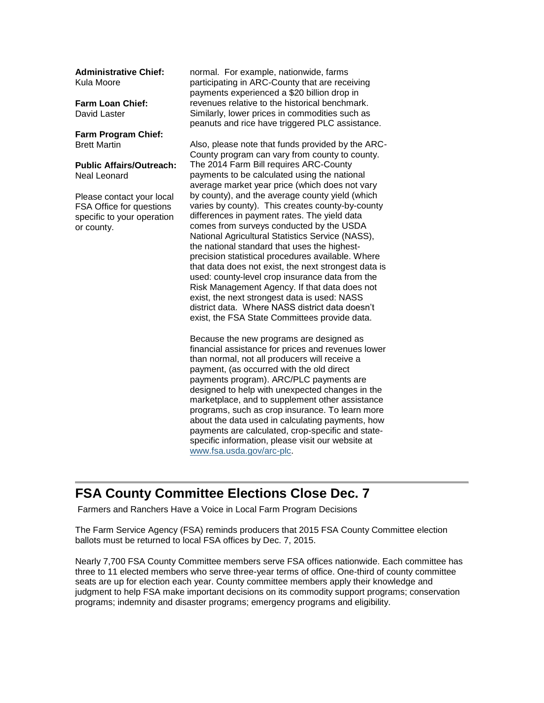**Administrative Chief:** Kula Moore

**Farm Loan Chief:** David Laster

**Farm Program Chief:** Brett Martin

**Public Affairs/Outreach:** Neal Leonard

Please contact your local FSA Office for questions specific to your operation or county.

normal. For example, nationwide, farms participating in ARC-County that are receiving payments experienced a \$20 billion drop in revenues relative to the historical benchmark. Similarly, lower prices in commodities such as peanuts and rice have triggered PLC assistance.

Also, please note that funds provided by the ARC-County program can vary from county to county. The 2014 Farm Bill requires ARC-County payments to be calculated using the national average market year price (which does not vary by county), and the average county yield (which varies by county). This creates county-by-county differences in payment rates. The yield data comes from surveys conducted by the USDA National Agricultural Statistics Service (NASS), the national standard that uses the highestprecision statistical procedures available. Where that data does not exist, the next strongest data is used: county-level crop insurance data from the Risk Management Agency. If that data does not exist, the next strongest data is used: NASS district data. Where NASS district data doesn't exist, the FSA State Committees provide data.

Because the new programs are designed as financial assistance for prices and revenues lower than normal, not all producers will receive a payment, (as occurred with the old direct payments program). ARC/PLC payments are designed to help with unexpected changes in the marketplace, and to supplement other assistance programs, such as crop insurance. To learn more about the data used in calculating payments, how payments are calculated, crop-specific and statespecific information, please visit our website at [www.fsa.usda.gov/arc-plc.](http://www.fsa.usda.gov/arc-plc)

#### <span id="page-1-0"></span>**FSA County Committee Elections Close Dec. 7**

Farmers and Ranchers Have a Voice in Local Farm Program Decisions

The Farm Service Agency (FSA) reminds producers that 2015 FSA County Committee election ballots must be returned to local FSA offices by Dec. 7, 2015.

Nearly 7,700 FSA County Committee members serve FSA offices nationwide. Each committee has three to 11 elected members who serve three-year terms of office. One-third of county committee seats are up for election each year. County committee members apply their knowledge and judgment to help FSA make important decisions on its commodity support programs; conservation programs; indemnity and disaster programs; emergency programs and eligibility.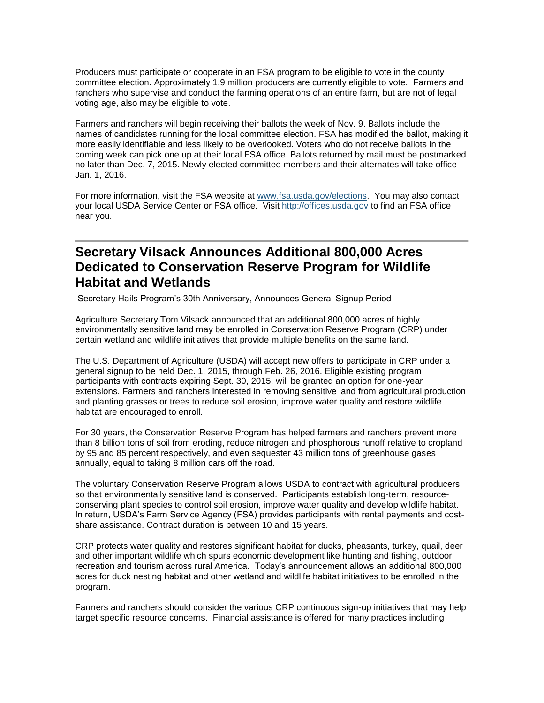Producers must participate or cooperate in an FSA program to be eligible to vote in the county committee election. Approximately 1.9 million producers are currently eligible to vote. Farmers and ranchers who supervise and conduct the farming operations of an entire farm, but are not of legal voting age, also may be eligible to vote.

Farmers and ranchers will begin receiving their ballots the week of Nov. 9. Ballots include the names of candidates running for the local committee election. FSA has modified the ballot, making it more easily identifiable and less likely to be overlooked. Voters who do not receive ballots in the coming week can pick one up at their local FSA office. Ballots returned by mail must be postmarked no later than Dec. 7, 2015. Newly elected committee members and their alternates will take office Jan. 1, 2016.

For more information, visit the FSA website at [www.fsa.usda.gov/elections.](http://www.fsa.usda.gov/elections) You may also contact your local USDA Service Center or FSA office. Visit [http://offices.usda.gov](http://offices.usda.gov/) to find an FSA office near you.

# <span id="page-2-0"></span>**Secretary Vilsack Announces Additional 800,000 Acres Dedicated to Conservation Reserve Program for Wildlife Habitat and Wetlands**

Secretary Hails Program's 30th Anniversary, Announces General Signup Period

Agriculture Secretary Tom Vilsack announced that an additional 800,000 acres of highly environmentally sensitive land may be enrolled in Conservation Reserve Program (CRP) under certain wetland and wildlife initiatives that provide multiple benefits on the same land.

The U.S. Department of Agriculture (USDA) will accept new offers to participate in CRP under a general signup to be held Dec. 1, 2015, through Feb. 26, 2016. Eligible existing program participants with contracts expiring Sept. 30, 2015, will be granted an option for one-year extensions. Farmers and ranchers interested in removing sensitive land from agricultural production and planting grasses or trees to reduce soil erosion, improve water quality and restore wildlife habitat are encouraged to enroll.

For 30 years, the Conservation Reserve Program has helped farmers and ranchers prevent more than 8 billion tons of soil from eroding, reduce nitrogen and phosphorous runoff relative to cropland by 95 and 85 percent respectively, and even sequester 43 million tons of greenhouse gases annually, equal to taking 8 million cars off the road.

The voluntary Conservation Reserve Program allows USDA to contract with agricultural producers so that environmentally sensitive land is conserved. Participants establish long-term, resourceconserving plant species to control soil erosion, improve water quality and develop wildlife habitat. In return, USDA's Farm Service Agency (FSA) provides participants with rental payments and costshare assistance. Contract duration is between 10 and 15 years.

CRP protects water quality and restores significant habitat for ducks, pheasants, turkey, quail, deer and other important wildlife which spurs economic development like hunting and fishing, outdoor recreation and tourism across rural America. Today's announcement allows an additional 800,000 acres for duck nesting habitat and other wetland and wildlife habitat initiatives to be enrolled in the program.

Farmers and ranchers should consider the various CRP continuous sign-up initiatives that may help target specific resource concerns. Financial assistance is offered for many practices including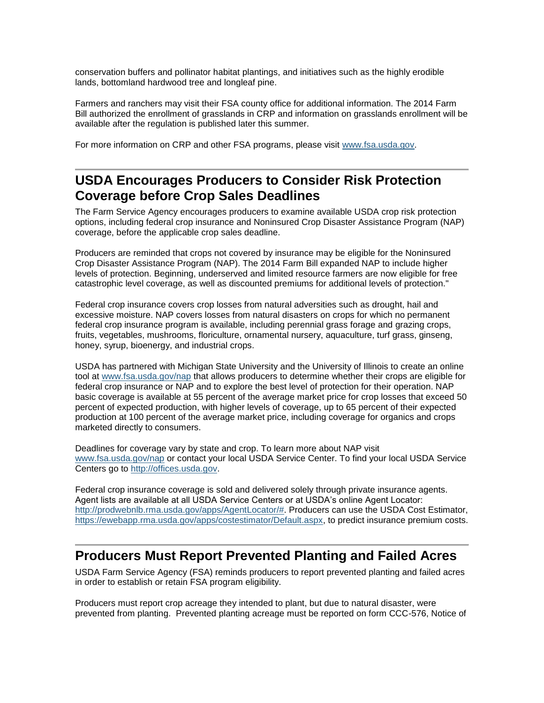conservation buffers and pollinator habitat plantings, and initiatives such as the highly erodible lands, bottomland hardwood tree and longleaf pine.

Farmers and ranchers may visit their FSA county office for additional information. The 2014 Farm Bill authorized the enrollment of grasslands in CRP and information on grasslands enrollment will be available after the regulation is published later this summer.

For more information on CRP and other FSA programs, please visit [www.fsa.usda.gov.](http://www.fsa.usda.gov/)

#### <span id="page-3-0"></span>**USDA Encourages Producers to Consider Risk Protection Coverage before Crop Sales Deadlines**

The Farm Service Agency encourages producers to examine available USDA crop risk protection options, including federal crop insurance and Noninsured Crop Disaster Assistance Program (NAP) coverage, before the applicable crop sales deadline.

Producers are reminded that crops not covered by insurance may be eligible for the Noninsured Crop Disaster Assistance Program (NAP). The 2014 Farm Bill expanded NAP to include higher levels of protection. Beginning, underserved and limited resource farmers are now eligible for free catastrophic level coverage, as well as discounted premiums for additional levels of protection."

Federal crop insurance covers crop losses from natural adversities such as drought, hail and excessive moisture. NAP covers losses from natural disasters on crops for which no permanent federal crop insurance program is available, including perennial grass forage and grazing crops, fruits, vegetables, mushrooms, floriculture, ornamental nursery, aquaculture, turf grass, ginseng, honey, syrup, bioenergy, and industrial crops.

USDA has partnered with Michigan State University and the University of Illinois to create an online tool at [www.fsa.usda.gov/nap](http://www.fsa.usda.gov/nap) that allows producers to determine whether their crops are eligible for federal crop insurance or NAP and to explore the best level of protection for their operation. NAP basic coverage is available at 55 percent of the average market price for crop losses that exceed 50 percent of expected production, with higher levels of coverage, up to 65 percent of their expected production at 100 percent of the average market price, including coverage for organics and crops marketed directly to consumers.

Deadlines for coverage vary by state and crop. To learn more about NAP visit [www.fsa.usda.gov/nap](http://www.fsa.usda.gov/nap) or contact your local USDA Service Center. To find your local USDA Service Centers go to [http://offices.usda.gov.](http://offices.usda.gov/)

Federal crop insurance coverage is sold and delivered solely through private insurance agents. Agent lists are available at all USDA Service Centers or at USDA's online Agent Locator: [http://prodwebnlb.rma.usda.gov/apps/AgentLocator/#.](http://prodwebnlb.rma.usda.gov/apps/AgentLocator/) Producers can use the USDA Cost Estimator, [https://ewebapp.rma.usda.gov/apps/costestimator/Default.aspx,](https://ewebapp.rma.usda.gov/apps/costestimator/Default.aspx) to predict insurance premium costs.

#### <span id="page-3-1"></span>**Producers Must Report Prevented Planting and Failed Acres**

USDA Farm Service Agency (FSA) reminds producers to report prevented planting and failed acres in order to establish or retain FSA program eligibility.

Producers must report crop acreage they intended to plant, but due to natural disaster, were prevented from planting. Prevented planting acreage must be reported on form CCC-576, Notice of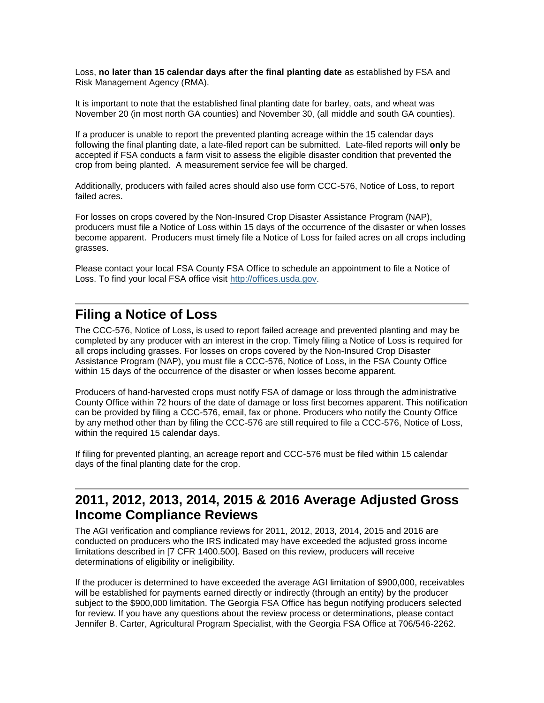Loss, **no later than 15 calendar days after the final planting date** as established by FSA and Risk Management Agency (RMA).

It is important to note that the established final planting date for barley, oats, and wheat was November 20 (in most north GA counties) and November 30, (all middle and south GA counties).

If a producer is unable to report the prevented planting acreage within the 15 calendar days following the final planting date, a late-filed report can be submitted. Late-filed reports will **only** be accepted if FSA conducts a farm visit to assess the eligible disaster condition that prevented the crop from being planted. A measurement service fee will be charged.

Additionally, producers with failed acres should also use form CCC-576, Notice of Loss, to report failed acres.

For losses on crops covered by the Non-Insured Crop Disaster Assistance Program (NAP), producers must file a Notice of Loss within 15 days of the occurrence of the disaster or when losses become apparent. Producers must timely file a Notice of Loss for failed acres on all crops including grasses.

Please contact your local FSA County FSA Office to schedule an appointment to file a Notice of Loss. To find your local FSA office visit [http://offices.usda.gov.](http://offices.usda.gov/)

#### <span id="page-4-0"></span>**Filing a Notice of Loss**

The CCC-576, Notice of Loss, is used to report failed acreage and prevented planting and may be completed by any producer with an interest in the crop. Timely filing a Notice of Loss is required for all crops including grasses. For losses on crops covered by the Non-Insured Crop Disaster Assistance Program (NAP), you must file a CCC-576, Notice of Loss, in the FSA County Office within 15 days of the occurrence of the disaster or when losses become apparent.

Producers of hand-harvested crops must notify FSA of damage or loss through the administrative County Office within 72 hours of the date of damage or loss first becomes apparent. This notification can be provided by filing a CCC-576, email, fax or phone. Producers who notify the County Office by any method other than by filing the CCC-576 are still required to file a CCC-576, Notice of Loss, within the required 15 calendar days.

If filing for prevented planting, an acreage report and CCC-576 must be filed within 15 calendar days of the final planting date for the crop.

# <span id="page-4-1"></span>**2011, 2012, 2013, 2014, 2015 & 2016 Average Adjusted Gross Income Compliance Reviews**

The AGI verification and compliance reviews for 2011, 2012, 2013, 2014, 2015 and 2016 are conducted on producers who the IRS indicated may have exceeded the adjusted gross income limitations described in [7 CFR 1400.500]. Based on this review, producers will receive determinations of eligibility or ineligibility.

If the producer is determined to have exceeded the average AGI limitation of \$900,000, receivables will be established for payments earned directly or indirectly (through an entity) by the producer subject to the \$900,000 limitation. The Georgia FSA Office has begun notifying producers selected for review. If you have any questions about the review process or determinations, please contact Jennifer B. Carter, Agricultural Program Specialist, with the Georgia FSA Office at 706/546-2262.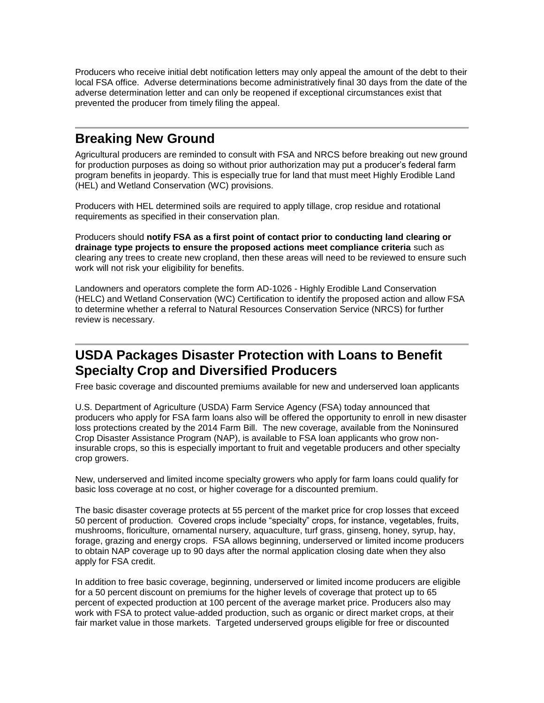Producers who receive initial debt notification letters may only appeal the amount of the debt to their local FSA office. Adverse determinations become administratively final 30 days from the date of the adverse determination letter and can only be reopened if exceptional circumstances exist that prevented the producer from timely filing the appeal.

# <span id="page-5-0"></span>**Breaking New Ground**

Agricultural producers are reminded to consult with FSA and NRCS before breaking out new ground for production purposes as doing so without prior authorization may put a producer's federal farm program benefits in jeopardy. This is especially true for land that must meet Highly Erodible Land (HEL) and Wetland Conservation (WC) provisions.

Producers with HEL determined soils are required to apply tillage, crop residue and rotational requirements as specified in their conservation plan.

Producers should **notify FSA as a first point of contact prior to conducting land clearing or drainage type projects to ensure the proposed actions meet compliance criteria** such as clearing any trees to create new cropland, then these areas will need to be reviewed to ensure such work will not risk your eligibility for benefits.

Landowners and operators complete the form AD-1026 - Highly Erodible Land Conservation (HELC) and Wetland Conservation (WC) Certification to identify the proposed action and allow FSA to determine whether a referral to Natural Resources Conservation Service (NRCS) for further review is necessary.

# <span id="page-5-1"></span>**USDA Packages Disaster Protection with Loans to Benefit Specialty Crop and Diversified Producers**

Free basic coverage and discounted premiums available for new and underserved loan applicants

U.S. Department of Agriculture (USDA) Farm Service Agency (FSA) today announced that producers who apply for FSA farm loans also will be offered the opportunity to enroll in new disaster loss protections created by the 2014 Farm Bill. The new coverage, available from the Noninsured Crop Disaster Assistance Program (NAP), is available to FSA loan applicants who grow noninsurable crops, so this is especially important to fruit and vegetable producers and other specialty crop growers.

New, underserved and limited income specialty growers who apply for farm loans could qualify for basic loss coverage at no cost, or higher coverage for a discounted premium.

The basic disaster coverage protects at 55 percent of the market price for crop losses that exceed 50 percent of production. Covered crops include "specialty" crops, for instance, vegetables, fruits, mushrooms, floriculture, ornamental nursery, aquaculture, turf grass, ginseng, honey, syrup, hay, forage, grazing and energy crops. FSA allows beginning, underserved or limited income producers to obtain NAP coverage up to 90 days after the normal application closing date when they also apply for FSA credit.

In addition to free basic coverage, beginning, underserved or limited income producers are eligible for a 50 percent discount on premiums for the higher levels of coverage that protect up to 65 percent of expected production at 100 percent of the average market price. Producers also may work with FSA to protect value-added production, such as organic or direct market crops, at their fair market value in those markets. Targeted underserved groups eligible for free or discounted